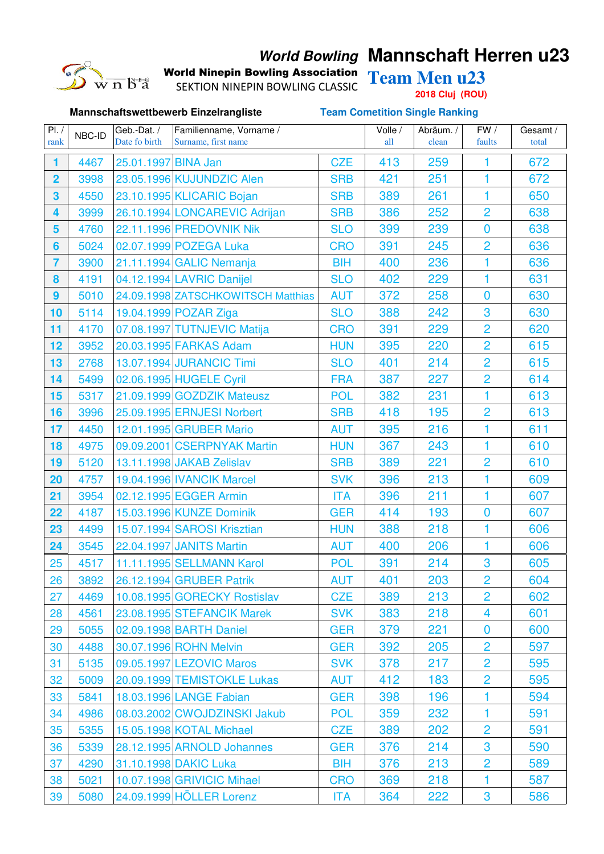## $\overline{w}$  n  $\overline{b}^*$ å

## **World Bowling Mannschaft Herren u23**

World Ninepin Bowling Association Team Men u23

**Mannschaftswettbewerb Einzelrangliste Team Cometition Single Ranking**

SEKTION NINEPIN BOWLING CLASSIC

**2018 Cluj (ROU)**

| PI. /                   | NBC-ID | Geb.-Dat./          | Familienname, Vorname /            |            | Volle / | Abräum. / | FW /           | Gesamt / |
|-------------------------|--------|---------------------|------------------------------------|------------|---------|-----------|----------------|----------|
| rank                    |        | Date fo birth       | Surname, first name                |            | all     | clean     | faults         | total    |
| 1                       | 4467   | 25.01.1997 BINA Jan |                                    | <b>CZE</b> | 413     | 259       | 1              | 672      |
| $\overline{\mathbf{2}}$ | 3998   |                     | 23.05.1996 KUJUNDZIC Alen          | <b>SRB</b> | 421     | 251       | 1              | 672      |
| 3                       | 4550   |                     | 23.10.1995 KLICARIC Bojan          | <b>SRB</b> | 389     | 261       | 1              | 650      |
| $\overline{\mathbf{4}}$ | 3999   |                     | 26.10.1994 LONCAREVIC Adrijan      | <b>SRB</b> | 386     | 252       | $\overline{2}$ | 638      |
| 5                       | 4760   |                     | 22.11.1996 PREDOVNIK Nik           | <b>SLO</b> | 399     | 239       | $\bf{0}$       | 638      |
| $6\phantom{a}$          | 5024   |                     | 02.07.1999 POZEGA Luka             | <b>CRO</b> | 391     | 245       | $\overline{2}$ | 636      |
| $\overline{7}$          | 3900   |                     | 21.11.1994 GALIC Nemanja           | <b>BIH</b> | 400     | 236       | 1              | 636      |
| 8                       | 4191   |                     | 04.12.1994 LAVRIC Danijel          | <b>SLO</b> | 402     | 229       | 1              | 631      |
| 9                       | 5010   |                     | 24.09.1998 ZATSCHKOWITSCH Matthias | <b>AUT</b> | 372     | 258       | $\bf{0}$       | 630      |
| 10                      | 5114   |                     | 19.04.1999 POZAR Ziga              | <b>SLO</b> | 388     | 242       | 3              | 630      |
| 11                      | 4170   |                     | 07.08.1997 TUTNJEVIC Matija        | <b>CRO</b> | 391     | 229       | $\overline{2}$ | 620      |
| 12                      | 3952   |                     | 20.03.1995 FARKAS Adam             | <b>HUN</b> | 395     | 220       | $\overline{2}$ | 615      |
| 13                      | 2768   |                     | 13.07.1994 JURANCIC Timi           | <b>SLO</b> | 401     | 214       | $\overline{2}$ | 615      |
| 14                      | 5499   |                     | 02.06.1995 HUGELE Cyril            | <b>FRA</b> | 387     | 227       | $\overline{2}$ | 614      |
| 15                      | 5317   |                     | 21.09.1999 GOZDZIK Mateusz         | <b>POL</b> | 382     | 231       | $\mathbf{1}$   | 613      |
| 16                      | 3996   |                     | 25.09.1995 ERNJESI Norbert         | <b>SRB</b> | 418     | 195       | $\overline{2}$ | 613      |
| 17                      | 4450   |                     | 12.01.1995 GRUBER Mario            | <b>AUT</b> | 395     | 216       | 1              | 611      |
| 18                      | 4975   |                     | 09.09.2001 CSERPNYAK Martin        | <b>HUN</b> | 367     | 243       | $\mathbf{1}$   | 610      |
| 19                      | 5120   |                     | 13.11.1998 JAKAB Zelislav          | <b>SRB</b> | 389     | 221       | $\overline{2}$ | 610      |
| 20                      | 4757   |                     | 19.04.1996 IVANCIK Marcel          | <b>SVK</b> | 396     | 213       | 1              | 609      |
| 21                      | 3954   |                     | 02.12.1995 EGGER Armin             | <b>ITA</b> | 396     | 211       | $\mathbf{1}$   | 607      |
| 22                      | 4187   |                     | 15.03.1996 KUNZE Dominik           | <b>GER</b> | 414     | 193       | $\overline{0}$ | 607      |
| 23                      | 4499   |                     | 15.07.1994 SAROSI Krisztian        | <b>HUN</b> | 388     | 218       | 1              | 606      |
| 24                      | 3545   |                     | 22.04.1997 JANITS Martin           | <b>AUT</b> | 400     | 206       | $\mathbf{1}$   | 606      |
| 25                      | 4517   |                     | 11.11.1995 SELLMANN Karol          | <b>POL</b> | 391     | 214       | 3              | 605      |
| 26                      | 3892   |                     | 26.12.1994 GRUBER Patrik           | <b>AUT</b> | 401     | 203       | $\overline{2}$ | 604      |
| 27                      | 4469   |                     | 10.08.1995 GORECKY Rostislav       | <b>CZE</b> | 389     | 213       | $\overline{2}$ | 602      |
| 28                      | 4561   |                     | 23.08.1995 STEFANCIK Marek         | <b>SVK</b> | 383     | 218       | 4              | 601      |
| 29                      | 5055   |                     | 02.09.1998 BARTH Daniel            | <b>GER</b> | 379     | 221       | $\bf{0}$       | 600      |
| 30                      | 4488   |                     | 30.07.1996 ROHN Melvin             | <b>GER</b> | 392     | 205       | $\overline{2}$ | 597      |
| 31                      | 5135   |                     | 09.05.1997 LEZOVIC Maros           | <b>SVK</b> | 378     | 217       | $\overline{2}$ | 595      |
| 32                      | 5009   |                     | 20.09.1999 TEMISTOKLE Lukas        | <b>AUT</b> | 412     | 183       | $\overline{2}$ | 595      |
| 33                      | 5841   |                     | 18.03.1996 LANGE Fabian            | <b>GER</b> | 398     | 196       | 1              | 594      |
| 34                      | 4986   |                     | 08.03.2002 CWOJDZINSKI Jakub       | <b>POL</b> | 359     | 232       | 1              | 591      |
| 35                      | 5355   |                     | 15.05.1998 KOTAL Michael           | <b>CZE</b> | 389     | 202       | $\overline{2}$ | 591      |
| 36                      | 5339   |                     | 28.12.1995 ARNOLD Johannes         | <b>GER</b> | 376     | 214       | 3              | 590      |
| 37                      | 4290   |                     | 31.10.1998 DAKIC Luka              | <b>BIH</b> | 376     | 213       | $\overline{2}$ | 589      |
| 38                      | 5021   |                     | 10.07.1998 GRIVICIC Mihael         | <b>CRO</b> | 369     | 218       | 1              | 587      |
| 39                      | 5080   |                     | 24.09.1999 HÖLLER Lorenz           | <b>ITA</b> | 364     | 222       | 3              | 586      |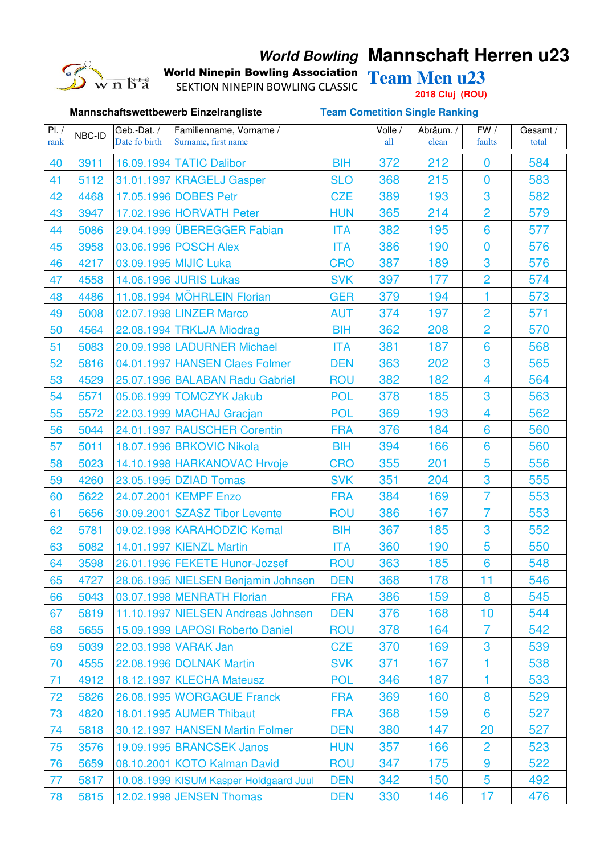# $\overline{w}$  n  $\overline{b}^*$ å

## **World Bowling Mannschaft Herren u23**

World Ninepin Bowling Association Team Men u23

SEKTION NINEPIN BOWLING CLASSIC

**Mannschaftswettbewerb Einzelrangliste Team Cometition Single Ranking**

**2018 Cluj (ROU)**

| PI. /<br>rank | NBC-ID | Geb.-Dat./<br>Date fo birth | Familienname, Vorname /<br>Surname, first name |            | Volle /<br>all | Abräum. /<br>clean | FW /<br>faults          | Gesamt /<br>total |
|---------------|--------|-----------------------------|------------------------------------------------|------------|----------------|--------------------|-------------------------|-------------------|
|               |        |                             |                                                |            |                |                    |                         |                   |
| 40            | 3911   |                             | 16.09.1994 TATIC Dalibor                       | <b>BIH</b> | 372            | 212                | $\bf{0}$                | 584               |
| 41            | 5112   |                             | 31.01.1997 KRAGELJ Gasper                      | <b>SLO</b> | 368            | 215                | $\overline{0}$          | 583               |
| 42            | 4468   |                             | 17.05.1996 DOBES Petr                          | <b>CZE</b> | 389            | 193                | 3                       | 582               |
| 43            | 3947   |                             | 17.02.1996 HORVATH Peter                       | <b>HUN</b> | 365            | 214                | $\overline{2}$          | 579               |
| 44            | 5086   |                             | 29.04.1999 ÜBEREGGER Fabian                    | <b>ITA</b> | 382            | 195                | 6                       | 577               |
| 45            | 3958   |                             | 03.06.1996 POSCH Alex                          | <b>ITA</b> | 386            | 190                | $\overline{0}$          | 576               |
| 46            | 4217   |                             | 03.09.1995 MIJIC Luka                          | <b>CRO</b> | 387            | 189                | 3                       | 576               |
| 47            | 4558   |                             | 14.06.1996 JURIS Lukas                         | <b>SVK</b> | 397            | 177                | 2                       | 574               |
| 48            | 4486   |                             | 11.08.1994 MÖHRLEIN Florian                    | <b>GER</b> | 379            | 194                | 1                       | 573               |
| 49            | 5008   |                             | 02.07.1998 LINZER Marco                        | <b>AUT</b> | 374            | 197                | $\overline{2}$          | 571               |
| 50            | 4564   |                             | 22.08.1994 TRKLJA Miodrag                      | <b>BIH</b> | 362            | 208                | $\overline{2}$          | 570               |
| 51            | 5083   |                             | 20.09.1998 LADURNER Michael                    | <b>ITA</b> | 381            | 187                | 6                       | 568               |
| 52            | 5816   |                             | 04.01.1997 HANSEN Claes Folmer                 | <b>DEN</b> | 363            | 202                | 3                       | 565               |
| 53            | 4529   |                             | 25.07.1996 BALABAN Radu Gabriel                | <b>ROU</b> | 382            | 182                | $\overline{\mathbf{4}}$ | 564               |
| 54            | 5571   |                             | 05.06.1999 TOMCZYK Jakub                       | <b>POL</b> | 378            | 185                | 3                       | 563               |
| 55            | 5572   |                             | 22.03.1999 MACHAJ Gracjan                      | <b>POL</b> | 369            | 193                | 4                       | 562               |
| 56            | 5044   |                             | 24.01.1997 RAUSCHER Corentin                   | <b>FRA</b> | 376            | 184                | 6                       | 560               |
| 57            | 5011   |                             | 18.07.1996 BRKOVIC Nikola                      | <b>BIH</b> | 394            | 166                | 6                       | 560               |
| 58            | 5023   |                             | 14.10.1998 HARKANOVAC Hrvoje                   | <b>CRO</b> | 355            | 201                | 5                       | 556               |
| 59            | 4260   |                             | 23.05.1995 DZIAD Tomas                         | <b>SVK</b> | 351            | 204                | 3                       | 555               |
| 60            | 5622   |                             | 24.07.2001 KEMPF Enzo                          | <b>FRA</b> | 384            | 169                | $\overline{7}$          | 553               |
| 61            | 5656   |                             | 30.09.2001 SZASZ Tibor Levente                 | <b>ROU</b> | 386            | 167                | $\overline{7}$          | 553               |
| 62            | 5781   |                             | 09.02.1998 KARAHODZIC Kemal                    | <b>BIH</b> | 367            | 185                | 3                       | 552               |
| 63            | 5082   |                             | 14.01.1997 KIENZL Martin                       | <b>ITA</b> | 360            | 190                | 5                       | 550               |
| 64            | 3598   |                             | 26.01.1996 FEKETE Hunor-Jozsef                 | <b>ROU</b> | 363            | 185                | 6                       | 548               |
| 65            | 4727   |                             | 28.06.1995 NIELSEN Benjamin Johnsen            | <b>DEN</b> | 368            | 178                | 11                      | 546               |
| 66            | 5043   |                             | 03.07.1998 MENRATH Florian                     | <b>FRA</b> | 386            | 159                | 8                       | 545               |
| 67            | 5819   |                             | 11.10.1997 NIELSEN Andreas Johnsen             | <b>DEN</b> | 376            | 168                | 10                      | 544               |
| 68            | 5655   |                             | 15.09.1999 LAPOSI Roberto Daniel               | <b>ROU</b> | 378            | 164                | $\overline{7}$          | 542               |
| 69            | 5039   |                             | 22.03.1998 VARAK Jan                           | <b>CZE</b> | 370            | 169                | 3                       | 539               |
| 70            | 4555   |                             | 22.08.1996 DOLNAK Martin                       | <b>SVK</b> | 371            | 167                |                         | 538               |
| 71            | 4912   |                             | 18.12.1997 KLECHA Mateusz                      | <b>POL</b> | 346            | 187                | 1                       | 533               |
| 72            | 5826   |                             | 26.08.1995 WORGAGUE Franck                     | <b>FRA</b> | 369            | 160                | 8                       | 529               |
| 73            | 4820   |                             | 18.01.1995 AUMER Thibaut                       | <b>FRA</b> | 368            | 159                | 6                       | 527               |
| 74            | 5818   |                             | 30.12.1997 HANSEN Martin Folmer                | <b>DEN</b> | 380            | 147                | 20                      | 527               |
| 75            | 3576   |                             | 19.09.1995 BRANCSEK Janos                      | <b>HUN</b> | 357            | 166                | $\overline{2}$          | 523               |
| 76            | 5659   |                             | 08.10.2001 KOTO Kalman David                   | <b>ROU</b> | 347            | 175                | 9                       | 522               |
|               |        |                             |                                                |            | 342            | 150                | 5                       | 492               |
| 77            | 5817   |                             | 10.08.1999 KISUM Kasper Holdgaard Juul         | <b>DEN</b> |                |                    |                         |                   |
| 78            | 5815   |                             | 12.02.1998 JENSEN Thomas                       | <b>DEN</b> | 330            | 146                | 17                      | 476               |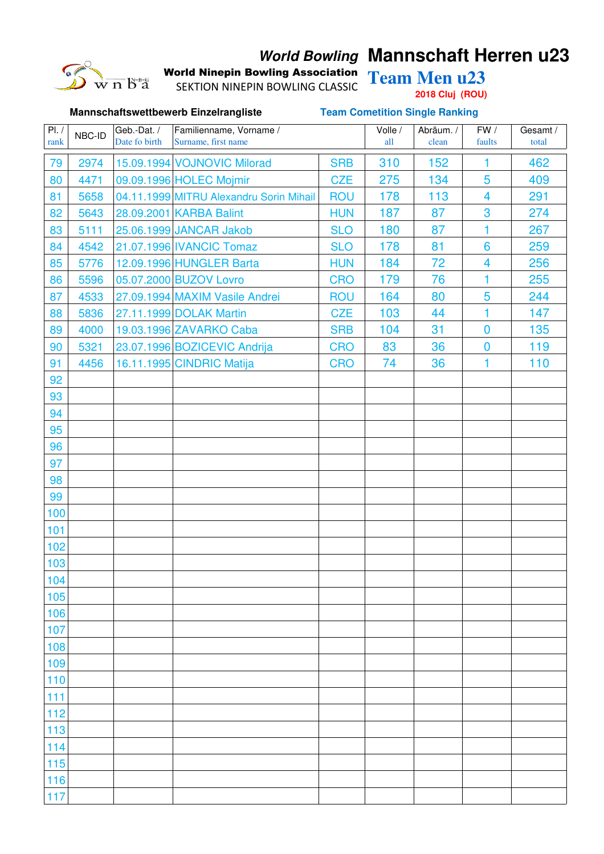# $\overline{w}$  n  $\overline{b}^*$ å

## **World Bowling Mannschaft Herren u23**

World Ninepin Bowling Association Team Men u23 SEKTION NINEPIN BOWLING CLASSIC

**2018 Cluj (ROU)**

|       | Mannschaftswettbewerb Einzelrangliste |               |                                         |            | <b>Team Cometition Single Ranking</b> |           |                         |          |  |  |
|-------|---------------------------------------|---------------|-----------------------------------------|------------|---------------------------------------|-----------|-------------------------|----------|--|--|
| PI. / | NBC-ID                                | Geb.-Dat./    | Familienname, Vorname /                 |            | Volle /                               | Abräum. / | FW /                    | Gesamt / |  |  |
| rank  |                                       | Date fo birth | Surname, first name                     |            | all                                   | clean     | faults                  | total    |  |  |
| 79    | 2974                                  |               | 15.09.1994 VOJNOVIC Milorad             | <b>SRB</b> | 310                                   | 152       | 1                       | 462      |  |  |
| 80    | 4471                                  |               | 09.09.1996 HOLEC Mojmir                 | <b>CZE</b> | 275                                   | 134       | 5                       | 409      |  |  |
| 81    | 5658                                  |               | 04.11.1999 MITRU Alexandru Sorin Mihail | <b>ROU</b> | 178                                   | 113       | $\overline{\mathbf{4}}$ | 291      |  |  |
| 82    | 5643                                  |               | 28.09.2001 KARBA Balint                 | <b>HUN</b> | 187                                   | 87        | 3                       | 274      |  |  |
| 83    | 5111                                  |               | 25.06.1999 JANCAR Jakob                 | <b>SLO</b> | 180                                   | 87        | 1                       | 267      |  |  |
| 84    | 4542                                  |               | 21.07.1996 IVANCIC Tomaz                | <b>SLO</b> | 178                                   | 81        | $6\phantom{1}6$         | 259      |  |  |
| 85    | 5776                                  |               | 12.09.1996 HUNGLER Barta                | <b>HUN</b> | 184                                   | 72        | $\overline{\mathbf{4}}$ | 256      |  |  |
| 86    | 5596                                  |               | 05.07.2000 BUZOV Lovro                  | <b>CRO</b> | 179                                   | 76        | 1                       | 255      |  |  |
| 87    | 4533                                  |               | 27.09.1994 MAXIM Vasile Andrei          | <b>ROU</b> | 164                                   | 80        | 5                       | 244      |  |  |
| 88    | 5836                                  |               | 27.11.1999 DOLAK Martin                 | <b>CZE</b> | 103                                   | 44        | 1                       | 147      |  |  |
| 89    | 4000                                  |               | 19.03.1996 ZAVARKO Caba                 | <b>SRB</b> | 104                                   | 31        | $\overline{0}$          | 135      |  |  |
| 90    | 5321                                  |               | 23.07.1996 BOZICEVIC Andrija            | <b>CRO</b> | 83                                    | 36        | $\overline{0}$          | 119      |  |  |
| 91    | 4456                                  |               | 16.11.1995 CINDRIC Matija               | <b>CRO</b> | 74                                    | 36        | 1                       | 110      |  |  |
| 92    |                                       |               |                                         |            |                                       |           |                         |          |  |  |
| 93    |                                       |               |                                         |            |                                       |           |                         |          |  |  |
| 94    |                                       |               |                                         |            |                                       |           |                         |          |  |  |
| 95    |                                       |               |                                         |            |                                       |           |                         |          |  |  |
| 96    |                                       |               |                                         |            |                                       |           |                         |          |  |  |
| 97    |                                       |               |                                         |            |                                       |           |                         |          |  |  |
| 98    |                                       |               |                                         |            |                                       |           |                         |          |  |  |
| 99    |                                       |               |                                         |            |                                       |           |                         |          |  |  |
| 100   |                                       |               |                                         |            |                                       |           |                         |          |  |  |
| 101   |                                       |               |                                         |            |                                       |           |                         |          |  |  |
| 102   |                                       |               |                                         |            |                                       |           |                         |          |  |  |
| 103   |                                       |               |                                         |            |                                       |           |                         |          |  |  |
| 104   |                                       |               |                                         |            |                                       |           |                         |          |  |  |
| 105   |                                       |               |                                         |            |                                       |           |                         |          |  |  |
| 106   |                                       |               |                                         |            |                                       |           |                         |          |  |  |
| 107   |                                       |               |                                         |            |                                       |           |                         |          |  |  |
| 108   |                                       |               |                                         |            |                                       |           |                         |          |  |  |
| 109   |                                       |               |                                         |            |                                       |           |                         |          |  |  |
| 110   |                                       |               |                                         |            |                                       |           |                         |          |  |  |
| 111   |                                       |               |                                         |            |                                       |           |                         |          |  |  |
| 112   |                                       |               |                                         |            |                                       |           |                         |          |  |  |
| 113   |                                       |               |                                         |            |                                       |           |                         |          |  |  |
| 114   |                                       |               |                                         |            |                                       |           |                         |          |  |  |
| 115   |                                       |               |                                         |            |                                       |           |                         |          |  |  |
| 116   |                                       |               |                                         |            |                                       |           |                         |          |  |  |
| 117   |                                       |               |                                         |            |                                       |           |                         |          |  |  |